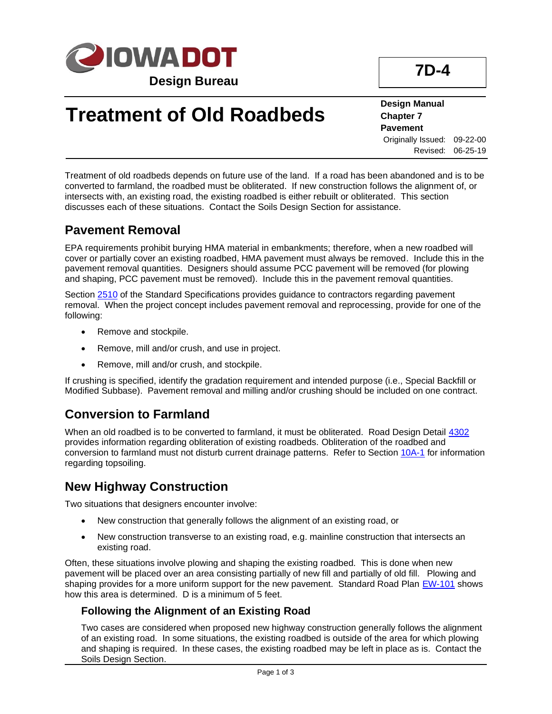

# **Treatment of Old Roadbeds**

**Design Manual Chapter 7 Pavement** Originally Issued: 09-22-00 Revised: 06-25-19

**7D-4**

Treatment of old roadbeds depends on future use of the land. If a road has been abandoned and is to be converted to farmland, the roadbed must be obliterated. If new construction follows the alignment of, or intersects with, an existing road, the existing roadbed is either rebuilt or obliterated. This section discusses each of these situations. Contact the Soils Design Section for assistance.

## **Pavement Removal**

EPA requirements prohibit burying HMA material in embankments; therefore, when a new roadbed will cover or partially cover an existing roadbed, HMA pavement must always be removed. Include this in the pavement removal quantities. Designers should assume PCC pavement will be removed (for plowing and shaping, PCC pavement must be removed). Include this in the pavement removal quantities.

Section [2510](../../erl/current/GS/content/2510.htm) of the Standard Specifications provides guidance to contractors regarding pavement removal. When the project concept includes pavement removal and reprocessing, provide for one of the following:

- Remove and stockpile.
- Remove, mill and/or crush, and use in project.
- Remove, mill and/or crush, and stockpile.

If crushing is specified, identify the gradation requirement and intended purpose (i.e., Special Backfill or Modified Subbase). Pavement removal and milling and/or crushing should be included on one contract.

### **Conversion to Farmland**

When an old roadbed is to be converted to farmland, it must be obliterated. Road Design Detail [4302](../tnt/PDFsandWebFiles/IndividualPDFs/4302.pdf) provides information regarding obliteration of existing roadbeds. Obliteration of the roadbed and conversion to farmland must not disturb current drainage patterns. Refer to Section [10A-1](10a-01.pdf) for information regarding topsoiling.

## **New Highway Construction**

Two situations that designers encounter involve:

- New construction that generally follows the alignment of an existing road, or
- New construction transverse to an existing road, e.g. mainline construction that intersects an existing road.

Often, these situations involve plowing and shaping the existing roadbed. This is done when new pavement will be placed over an area consisting partially of new fill and partially of old fill. Plowing and shaping provides for a more uniform support for the new pavement. Standard Road Plan [EW-101](../SRP/IndividualStandards/ew101.pdf) shows how this area is determined. D is a minimum of 5 feet.

### **Following the Alignment of an Existing Road**

Two cases are considered when proposed new highway construction generally follows the alignment of an existing road. In some situations, the existing roadbed is outside of the area for which plowing and shaping is required. In these cases, the existing roadbed may be left in place as is. Contact the Soils Design Section.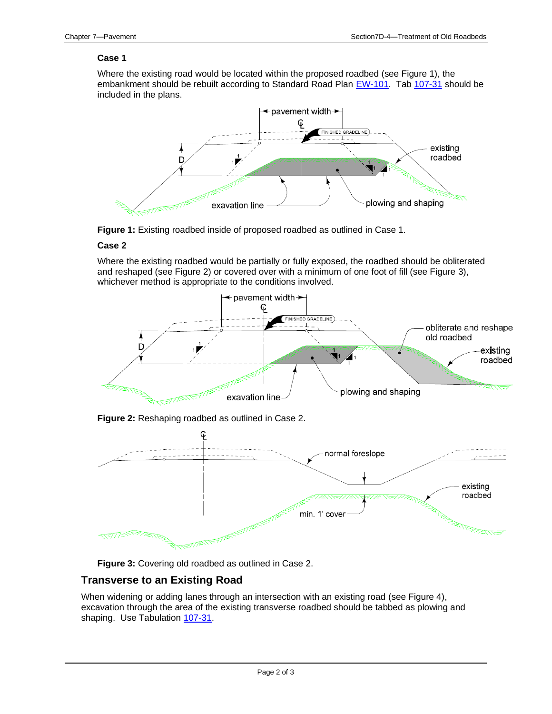#### **Case 1**

Where the existing road would be located within the proposed roadbed (see Figure 1), the embankment should be rebuilt according to Standard Road Plan [EW-101.](../SRP/IndividualStandards/ew101.pdf) Tab [107-31](../tnt/PDFsandWebFiles/IndividualPDFs/0107-31.pdf) should be included in the plans.



**Figure 1:** Existing roadbed inside of proposed roadbed as outlined in Case 1.

#### **Case 2**

Where the existing roadbed would be partially or fully exposed, the roadbed should be obliterated and reshaped (see Figure 2) or covered over with a minimum of one foot of fill (see Figure 3), whichever method is appropriate to the conditions involved.



**Figure 3:** Covering old roadbed as outlined in Case 2.

#### **Transverse to an Existing Road**

When widening or adding lanes through an intersection with an existing road (see Figure 4), excavation through the area of the existing transverse roadbed should be tabbed as plowing and shaping. Use Tabulation [107-31.](../tnt/PDFsandWebFiles/IndividualPDFs/0107-31.pdf)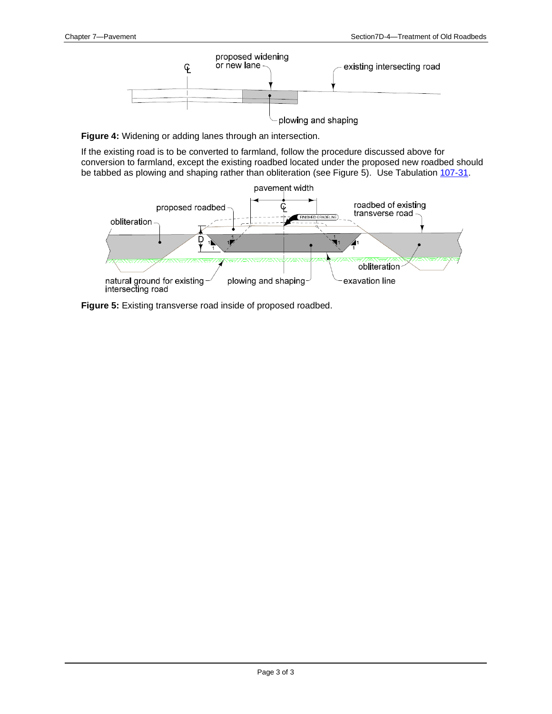

**Figure 4:** Widening or adding lanes through an intersection.

If the existing road is to be converted to farmland, follow the procedure discussed above for conversion to farmland, except the existing roadbed located under the proposed new roadbed should be tabbed as plowing and shaping rather than obliteration (see Figure 5). Use Tabulation [107-31.](../tnt/PDFsandWebFiles/IndividualPDFs/0107-31.pdf)



**Figure 5:** Existing transverse road inside of proposed roadbed.